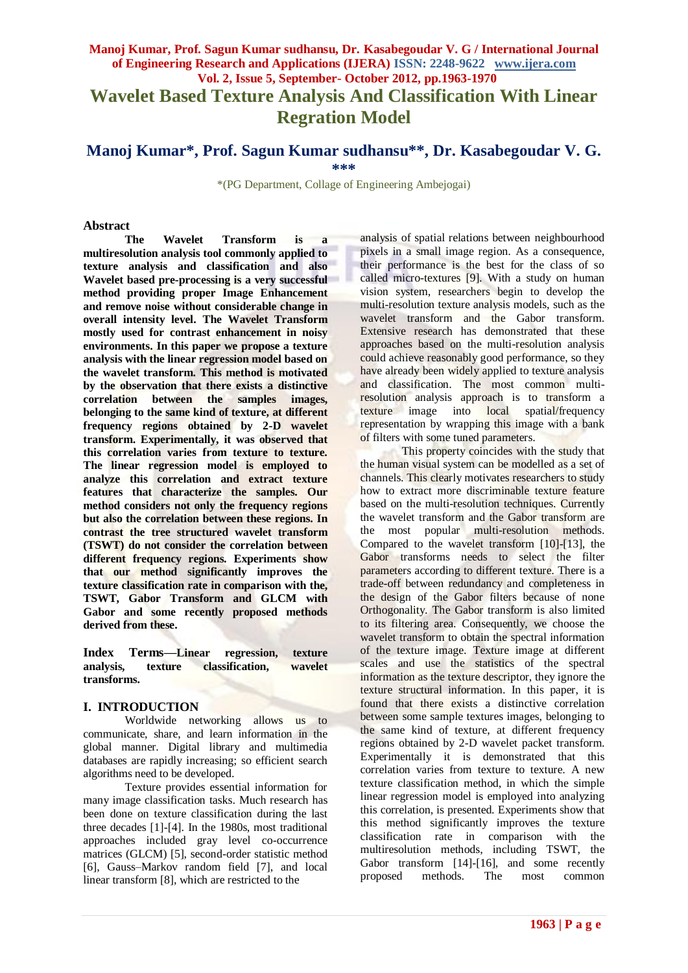# **Manoj Kumar, Prof. Sagun Kumar sudhansu, Dr. Kasabegoudar V. G / International Journal of Engineering Research and Applications (IJERA) ISSN: 2248-9622 www.ijera.com Vol. 2, Issue 5, September- October 2012, pp.1963-1970 Wavelet Based Texture Analysis And Classification With Linear Regration Model**

# **Manoj Kumar\*, Prof. Sagun Kumar sudhansu\*\*, Dr. Kasabegoudar V. G. \*\*\***

\*(PG Department, Collage of Engineering Ambejogai)

#### **Abstract**

**The Wavelet Transform is a multiresolution analysis tool commonly applied to texture analysis and classification and also Wavelet based pre-processing is a very successful method providing proper Image Enhancement and remove noise without considerable change in overall intensity level. The Wavelet Transform mostly used for contrast enhancement in noisy environments. In this paper we propose a texture analysis with the linear regression model based on the wavelet transform. This method is motivated by the observation that there exists a distinctive correlation between the samples images, belonging to the same kind of texture, at different frequency regions obtained by 2-D wavelet transform. Experimentally, it was observed that this correlation varies from texture to texture. The linear regression model is employed to analyze this correlation and extract texture features that characterize the samples. Our method considers not only the frequency regions but also the correlation between these regions. In contrast the tree structured wavelet transform (TSWT) do not consider the correlation between different frequency regions. Experiments show that our method significantly improves the texture classification rate in comparison with the, TSWT, Gabor Transform and GLCM with Gabor and some recently proposed methods derived from these.**

**Index Terms—Linear regression, texture analysis, texture classification, wavelet transforms.**

#### **I. INTRODUCTION**

Worldwide networking allows us to communicate, share, and learn information in the global manner. Digital library and multimedia databases are rapidly increasing; so efficient search algorithms need to be developed.

Texture provides essential information for many image classification tasks. Much research has been done on texture classification during the last three decades [1]-[4]. In the 1980s, most traditional approaches included gray level co-occurrence matrices (GLCM) [5], second-order statistic method [6], Gauss–Markov random field [7], and local linear transform [8], which are restricted to the

analysis of spatial relations between neighbourhood pixels in a small image region. As a consequence, their performance is the best for the class of so called micro-textures [9]. With a study on human vision system, researchers begin to develop the multi-resolution texture analysis models, such as the wavelet transform and the Gabor transform. Extensive research has demonstrated that these approaches based on the multi-resolution analysis could achieve reasonably good performance, so they have already been widely applied to texture analysis and classification. The most common multiresolution analysis approach is to transform a texture image into local spatial/frequency representation by wrapping this image with a bank of filters with some tuned parameters.

This property coincides with the study that the human visual system can be modelled as a set of channels. This clearly motivates researchers to study how to extract more discriminable texture feature based on the multi-resolution techniques. Currently the wavelet transform and the Gabor transform are the most popular multi-resolution methods. Compared to the wavelet transform [10]-[13], the Gabor transforms needs to select the filter parameters according to different texture. There is a trade-off between redundancy and completeness in the design of the Gabor filters because of none Orthogonality. The Gabor transform is also limited to its filtering area. Consequently, we choose the wavelet transform to obtain the spectral information of the texture image. Texture image at different scales and use the statistics of the spectral information as the texture descriptor, they ignore the texture structural information. In this paper, it is found that there exists a distinctive correlation between some sample textures images, belonging to the same kind of texture, at different frequency regions obtained by 2-D wavelet packet transform. Experimentally it is demonstrated that this correlation varies from texture to texture. A new texture classification method, in which the simple linear regression model is employed into analyzing this correlation, is presented. Experiments show that this method significantly improves the texture classification rate in comparison with the multiresolution methods, including TSWT, the Gabor transform [14]-[16], and some recently proposed methods. The most common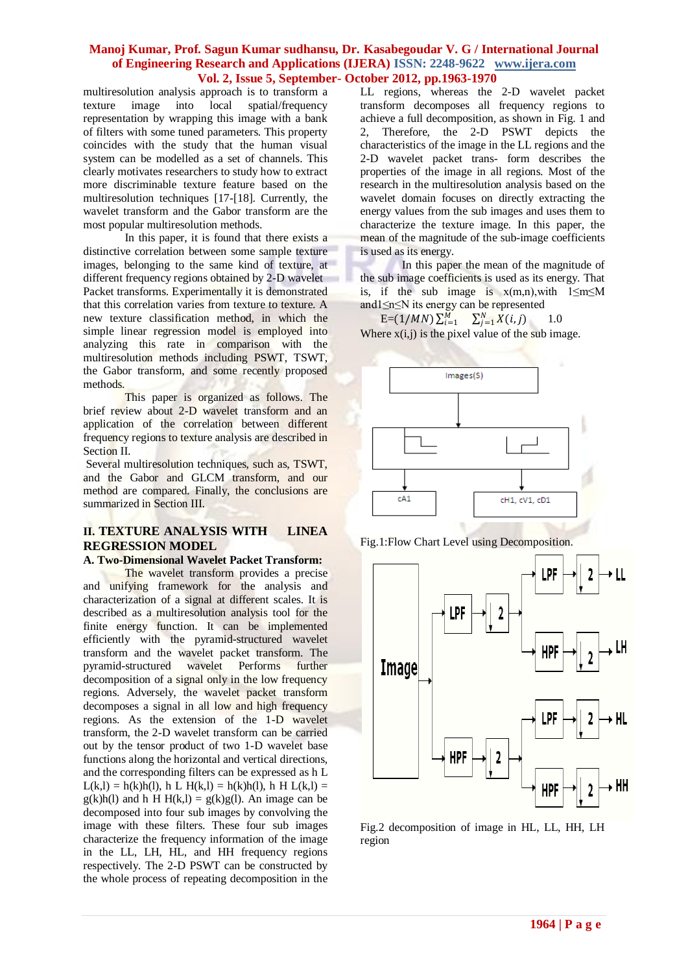multiresolution analysis approach is to transform a texture image into local spatial/frequency representation by wrapping this image with a bank of filters with some tuned parameters. This property coincides with the study that the human visual system can be modelled as a set of channels. This clearly motivates researchers to study how to extract more discriminable texture feature based on the multiresolution techniques [17-[18]. Currently, the wavelet transform and the Gabor transform are the most popular multiresolution methods.

In this paper, it is found that there exists a distinctive correlation between some sample texture images, belonging to the same kind of texture, at different frequency regions obtained by 2-D wavelet Packet transforms. Experimentally it is demonstrated that this correlation varies from texture to texture. A new texture classification method, in which the simple linear regression model is employed into analyzing this rate in comparison with the multiresolution methods including PSWT, TSWT, the Gabor transform, and some recently proposed methods.

This paper is organized as follows. The brief review about 2-D wavelet transform and an application of the correlation between different frequency regions to texture analysis are described in Section II.

Several multiresolution techniques, such as, TSWT, and the Gabor and GLCM transform, and our method are compared. Finally, the conclusions are summarized in Section III.

# **II. TEXTURE ANALYSIS WITH LINEA REGRESSION MODEL**

#### **A. Two-Dimensional Wavelet Packet Transform:**

The wavelet transform provides a precise and unifying framework for the analysis and characterization of a signal at different scales. It is described as a multiresolution analysis tool for the finite energy function. It can be implemented efficiently with the pyramid-structured wavelet transform and the wavelet packet transform. The pyramid-structured wavelet Performs further decomposition of a signal only in the low frequency regions. Adversely, the wavelet packet transform decomposes a signal in all low and high frequency regions. As the extension of the 1-D wavelet transform, the 2-D wavelet transform can be carried out by the tensor product of two 1-D wavelet base functions along the horizontal and vertical directions, and the corresponding filters can be expressed as h L  $L(k,l) = h(k)h(l)$ , h L  $H(k,l) = h(k)h(l)$ , h H  $L(k,l) =$  $g(k)h(l)$  and h H  $H(k,l) = g(k)g(l)$ . An image can be decomposed into four sub images by convolving the image with these filters. These four sub images characterize the frequency information of the image in the LL, LH, HL, and HH frequency regions respectively. The 2-D PSWT can be constructed by the whole process of repeating decomposition in the

LL regions, whereas the 2-D wavelet packet transform decomposes all frequency regions to achieve a full decomposition, as shown in Fig. 1 and 2, Therefore, the 2-D PSWT depicts the characteristics of the image in the LL regions and the 2-D wavelet packet trans- form describes the properties of the image in all regions. Most of the research in the multiresolution analysis based on the wavelet domain focuses on directly extracting the energy values from the sub images and uses them to characterize the texture image. In this paper, the mean of the magnitude of the sub-image coefficients is used as its energy.

In this paper the mean of the magnitude of the sub image coefficients is used as its energy. That is, if the sub image is  $x(m,n)$ , with  $1 \le m \le M$ and1≤n≤N its energy can be represented

 $E=(1/MN)\sum_{i=1}^{M} \sum_{j=1}^{N} X(i,j)$  1.0 Where  $x(i, j)$  is the pixel value of the sub image.



Fig.1:Flow Chart Level using Decomposition.



Fig.2 decomposition of image in HL, LL, HH, LH region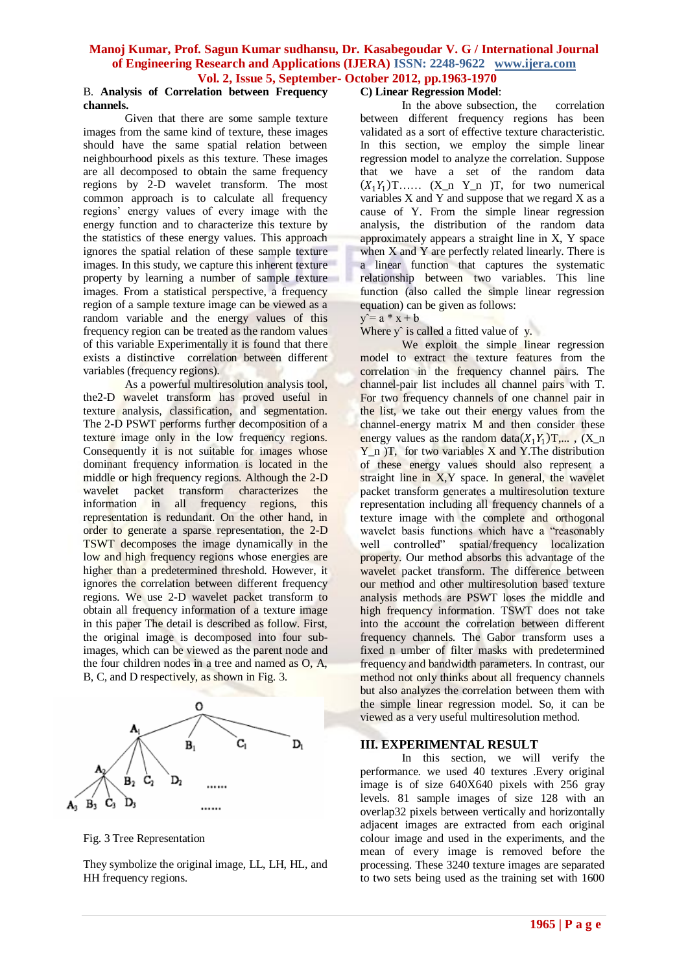#### B. **Analysis of Correlation between Frequency channels.**

Given that there are some sample texture images from the same kind of texture, these images should have the same spatial relation between neighbourhood pixels as this texture. These images are all decomposed to obtain the same frequency regions by 2-D wavelet transform. The most common approach is to calculate all frequency regions' energy values of every image with the energy function and to characterize this texture by the statistics of these energy values. This approach ignores the spatial relation of these sample texture images. In this study, we capture this inherent texture property by learning a number of sample texture images. From a statistical perspective, a frequency region of a sample texture image can be viewed as a random variable and the energy values of this frequency region can be treated as the random values of this variable Experimentally it is found that there exists a distinctive correlation between different variables (frequency regions).

As a powerful multiresolution analysis tool, the2-D wavelet transform has proved useful in texture analysis, classification, and segmentation. The 2-D PSWT performs further decomposition of a texture image only in the low frequency regions. Consequently it is not suitable for images whose dominant frequency information is located in the middle or high frequency regions. Although the 2-D wavelet packet transform characterizes the information in all frequency regions, this representation is redundant. On the other hand, in order to generate a sparse representation, the 2-D TSWT decomposes the image dynamically in the low and high frequency regions whose energies are higher than a predetermined threshold. However, it ignores the correlation between different frequency regions. We use 2-D wavelet packet transform to obtain all frequency information of a texture image in this paper The detail is described as follow. First, the original image is decomposed into four subimages, which can be viewed as the parent node and the four children nodes in a tree and named as O, A, B, C, and D respectively, as shown in Fig. 3.



Fig. 3 Tree Representation

They symbolize the original image, LL, LH, HL, and HH frequency regions.

# **C) Linear Regression Model**:

In the above subsection, the correlation between different frequency regions has been validated as a sort of effective texture characteristic. In this section, we employ the simple linear regression model to analyze the correlation. Suppose that we have a set of the random data  $(X_1Y_1)$ T……  $(X_n Y_n)$ T, for two numerical variables X and Y and suppose that we regard X as a cause of Y. From the simple linear regression analysis, the distribution of the random data approximately appears a straight line in X, Y space when  $X$  and  $Y$  are perfectly related linearly. There is a linear function that captures the systematic relationship between two variables. This line function (also called the simple linear regression equation) can be given as follows:

### $y = a * x + b$

Where  $y^{\hat{}}$  is called a fitted value of y.

We exploit the simple linear regression model to extract the texture features from the correlation in the frequency channel pairs. The channel-pair list includes all channel pairs with T. For two frequency channels of one channel pair in the list, we take out their energy values from the channel-energy matrix M and then consider these energy values as the random data  $(X_1 Y_1)$ T,...,  $(X_n)$  $Y$ <sub>n</sub> )T, for two variables X and Y.The distribution of these energy values should also represent a straight line in X, Y space. In general, the wavelet packet transform generates a multiresolution texture representation including all frequency channels of a texture image with the complete and orthogonal wavelet basis functions which have a "reasonably well controlled" spatial/frequency localization property. Our method absorbs this advantage of the wavelet packet transform. The difference between our method and other multiresolution based texture analysis methods are PSWT loses the middle and high frequency information. TSWT does not take into the account the correlation between different frequency channels. The Gabor transform uses a fixed n umber of filter masks with predetermined frequency and bandwidth parameters. In contrast, our method not only thinks about all frequency channels but also analyzes the correlation between them with the simple linear regression model. So, it can be viewed as a very useful multiresolution method.

# **III. EXPERIMENTAL RESULT**

In this section, we will verify the performance. we used 40 textures .Every original image is of size 640X640 pixels with 256 gray levels. 81 sample images of size 128 with an overlap32 pixels between vertically and horizontally adjacent images are extracted from each original colour image and used in the experiments, and the mean of every image is removed before the processing. These 3240 texture images are separated to two sets being used as the training set with 1600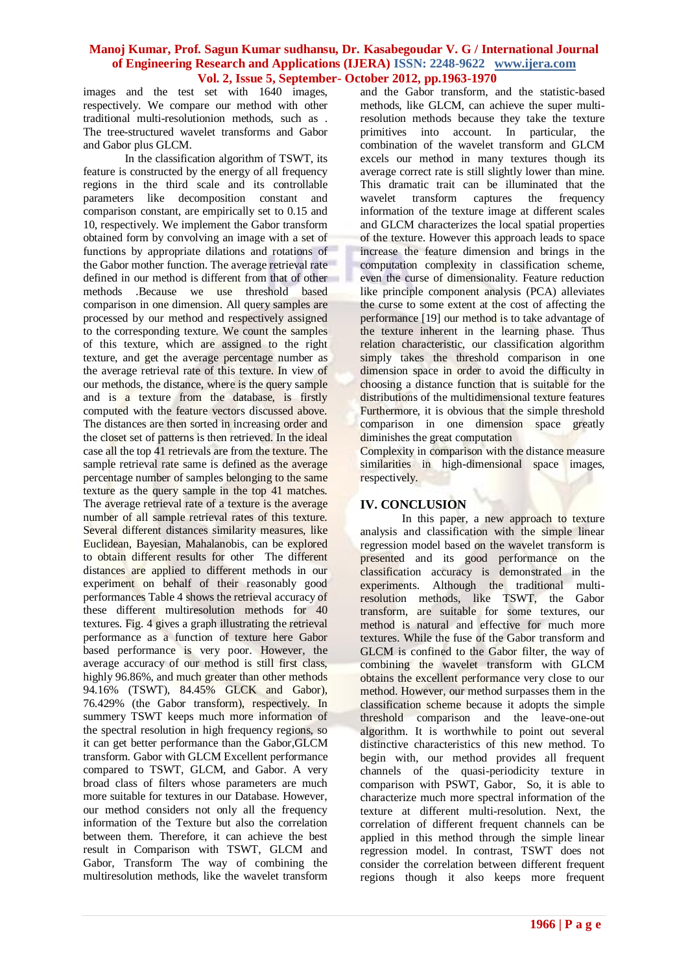images and the test set with 1640 images, respectively. We compare our method with other traditional multi-resolutionion methods, such as . The tree-structured wavelet transforms and Gabor and Gabor plus GLCM.

In the classification algorithm of TSWT, its feature is constructed by the energy of all frequency regions in the third scale and its controllable parameters like decomposition constant and comparison constant, are empirically set to 0.15 and 10, respectively. We implement the Gabor transform obtained form by convolving an image with a set of functions by appropriate dilations and rotations of the Gabor mother function. The average retrieval rate defined in our method is different from that of other methods .Because we use threshold based comparison in one dimension. All query samples are processed by our method and respectively assigned to the corresponding texture. We count the samples of this texture, which are assigned to the right texture, and get the average percentage number as the average retrieval rate of this texture. In view of our methods, the distance, where is the query sample and is a texture from the database, is firstly computed with the feature vectors discussed above. The distances are then sorted in increasing order and the closet set of patterns is then retrieved. In the ideal case all the top 41 retrievals are from the texture. The sample retrieval rate same is defined as the average percentage number of samples belonging to the same texture as the query sample in the top 41 matches. The average retrieval rate of a texture is the average number of all sample retrieval rates of this texture. Several different distances similarity measures, like Euclidean, Bayesian, Mahalanobis, can be explored to obtain different results for other The different distances are applied to different methods in our experiment on behalf of their reasonably good performances Table 4 shows the retrieval accuracy of these different multiresolution methods for 40 textures. Fig. 4 gives a graph illustrating the retrieval performance as a function of texture here Gabor based performance is very poor. However, the average accuracy of our method is still first class, highly 96.86%, and much greater than other methods 94.16% (TSWT), 84.45% GLCK and Gabor), 76.429% (the Gabor transform), respectively. In summery TSWT keeps much more information of the spectral resolution in high frequency regions, so it can get better performance than the Gabor,GLCM transform. Gabor with GLCM Excellent performance compared to TSWT, GLCM, and Gabor. A very broad class of filters whose parameters are much more suitable for textures in our Database. However, our method considers not only all the frequency information of the Texture but also the correlation between them. Therefore, it can achieve the best result in Comparison with TSWT, GLCM and Gabor, Transform The way of combining the multiresolution methods, like the wavelet transform

and the Gabor transform, and the statistic-based methods, like GLCM, can achieve the super multiresolution methods because they take the texture primitives into account. In particular, the combination of the wavelet transform and GLCM excels our method in many textures though its average correct rate is still slightly lower than mine. This dramatic trait can be illuminated that the wavelet transform captures the frequency information of the texture image at different scales and GLCM characterizes the local spatial properties of the texture. However this approach leads to space increase the feature dimension and brings in the computation complexity in classification scheme, even the curse of dimensionality. Feature reduction like principle component analysis (PCA) alleviates the curse to some extent at the cost of affecting the performance [19] our method is to take advantage of the texture inherent in the learning phase. Thus relation characteristic, our classification algorithm simply takes the threshold comparison in one dimension space in order to avoid the difficulty in choosing a distance function that is suitable for the distributions of the multidimensional texture features Furthermore, it is obvious that the simple threshold comparison in one dimension space greatly diminishes the great computation

Complexity in comparison with the distance measure similarities in high-dimensional space images, respectively.

# **IV. CONCLUSION**

In this paper, a new approach to texture analysis and classification with the simple linear regression model based on the wavelet transform is presented and its good performance on the classification accuracy is demonstrated in the experiments. Although the traditional multiresolution methods, like TSWT, the Gabor transform, are suitable for some textures, our method is natural and effective for much more textures. While the fuse of the Gabor transform and GLCM is confined to the Gabor filter, the way of combining the wavelet transform with GLCM obtains the excellent performance very close to our method. However, our method surpasses them in the classification scheme because it adopts the simple threshold comparison and the leave-one-out algorithm. It is worthwhile to point out several distinctive characteristics of this new method. To begin with, our method provides all frequent channels of the quasi-periodicity texture in comparison with PSWT, Gabor, So, it is able to characterize much more spectral information of the texture at different multi-resolution. Next, the correlation of different frequent channels can be applied in this method through the simple linear regression model. In contrast, TSWT does not consider the correlation between different frequent regions though it also keeps more frequent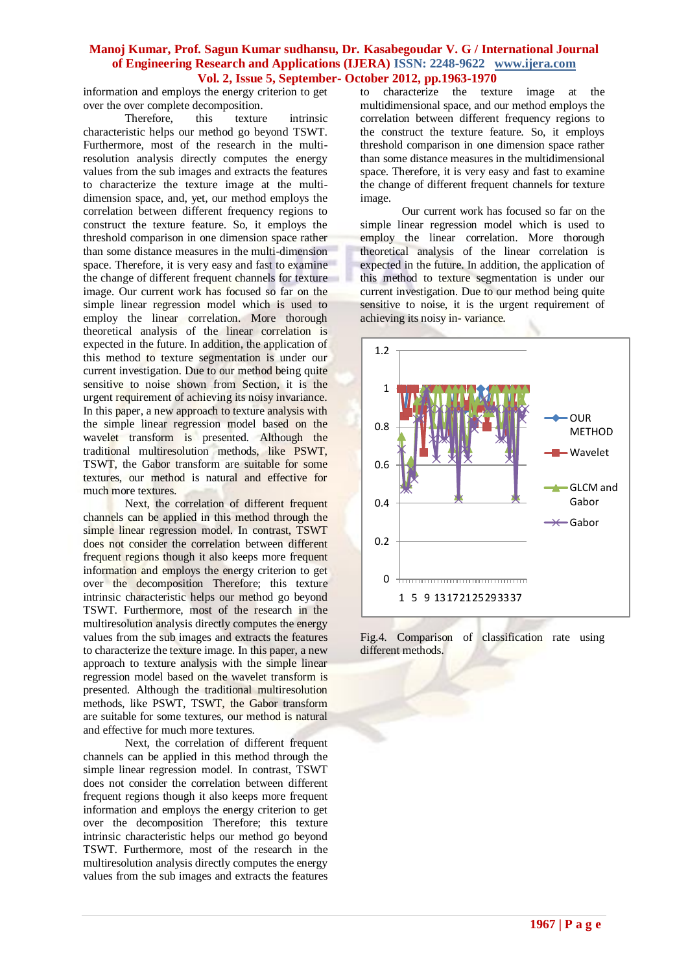information and employs the energy criterion to get over the over complete decomposition.<br>Therefore, this texture

Therefore, this texture intrinsic characteristic helps our method go beyond TSWT. Furthermore, most of the research in the multiresolution analysis directly computes the energy values from the sub images and extracts the features to characterize the texture image at the multidimension space, and, yet, our method employs the correlation between different frequency regions to construct the texture feature. So, it employs the threshold comparison in one dimension space rather than some distance measures in the multi-dimension space. Therefore, it is very easy and fast to examine the change of different frequent channels for texture image. Our current work has focused so far on the simple linear regression model which is used to employ the linear correlation. More thorough theoretical analysis of the linear correlation is expected in the future. In addition, the application of this method to texture segmentation is under our current investigation. Due to our method being quite sensitive to noise shown from Section, it is the urgent requirement of achieving its noisy invariance. In this paper, a new approach to texture analysis with the simple linear regression model based on the wavelet transform is presented. Although the traditional multiresolution methods, like PSWT, TSWT, the Gabor transform are suitable for some textures, our method is natural and effective for much more textures.

Next, the correlation of different frequent channels can be applied in this method through the simple linear regression model. In contrast, TSWT does not consider the correlation between different frequent regions though it also keeps more frequent information and employs the energy criterion to get over the decomposition Therefore; this texture intrinsic characteristic helps our method go beyond TSWT. Furthermore, most of the research in the multiresolution analysis directly computes the energy values from the sub images and extracts the features to characterize the texture image. In this paper, a new approach to texture analysis with the simple linear regression model based on the wavelet transform is presented. Although the traditional multiresolution methods, like PSWT, TSWT, the Gabor transform are suitable for some textures, our method is natural and effective for much more textures.

Next, the correlation of different frequent channels can be applied in this method through the simple linear regression model. In contrast, TSWT does not consider the correlation between different frequent regions though it also keeps more frequent information and employs the energy criterion to get over the decomposition Therefore; this texture intrinsic characteristic helps our method go beyond TSWT. Furthermore, most of the research in the multiresolution analysis directly computes the energy values from the sub images and extracts the features

to characterize the texture image at the multidimensional space, and our method employs the correlation between different frequency regions to the construct the texture feature. So, it employs threshold comparison in one dimension space rather than some distance measures in the multidimensional space. Therefore, it is very easy and fast to examine the change of different frequent channels for texture image.

Our current work has focused so far on the simple linear regression model which is used to employ the linear correlation. More thorough theoretical analysis of the linear correlation is expected in the future. In addition, the application of this method to texture segmentation is under our current investigation. Due to our method being quite sensitive to noise, it is the urgent requirement of achieving its noisy in- variance.



Fig.4. Comparison of classification rate using different methods.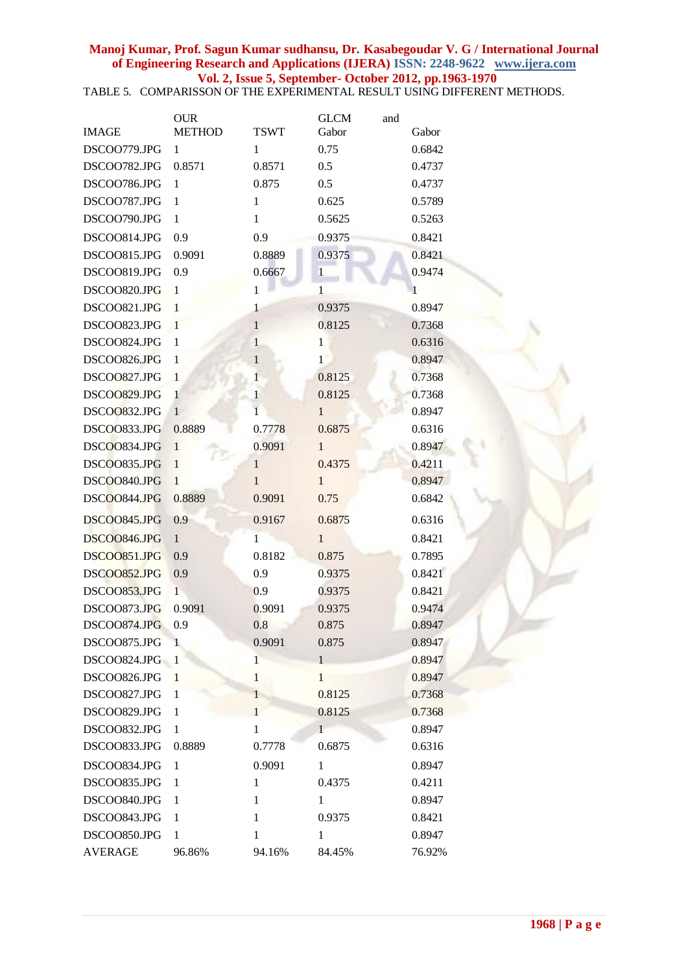TABLE 5. COMPARISSON OF THE EXPERIMENTAL RESULT USING DIFFERENT METHODS.

|                | <b>OUR</b>    |              | <b>GLCM</b>  | and |        |
|----------------|---------------|--------------|--------------|-----|--------|
| <b>IMAGE</b>   | <b>METHOD</b> | <b>TSWT</b>  | Gabor        |     | Gabor  |
| DSCOO779.JPG   | 1             | 1            | 0.75         |     | 0.6842 |
| DSCOO782.JPG   | 0.8571        | 0.8571       | 0.5          |     | 0.4737 |
| DSCOO786.JPG   | 1             | 0.875        | 0.5          |     | 0.4737 |
| DSCOO787.JPG   | 1             | 1            | 0.625        |     | 0.5789 |
| DSCOO790.JPG   | 1             | 1            | 0.5625       |     | 0.5263 |
| DSCOO814.JPG   | 0.9           | 0.9          | 0.9375       |     | 0.8421 |
| DSCOO815.JPG   | 0.9091        | 0.8889       | 0.9375       |     | 0.8421 |
| DSCOO819.JPG   | 0.9           | 0.6667       | 1            |     | 0.9474 |
| DSCOO820.JPG   | $\mathbf{1}$  | 1            | 1            |     | 1      |
| DSCOO821.JPG   | $\mathbf{1}$  | 1            | 0.9375       |     | 0.8947 |
| DSCOO823.JPG   | $\mathbf{1}$  | $\mathbf{1}$ | 0.8125       |     | 0.7368 |
| DSCOO824.JPG   | $\mathbf{1}$  | $\mathbf{1}$ | 1            |     | 0.6316 |
| DSCOO826.JPG   | 1             | 1            | $\mathbf{1}$ |     | 0.8947 |
| DSCOO827.JPG   | $\mathbf{1}$  | $\mathbf{1}$ | 0.8125       |     | 0.7368 |
| DSCOO829.JPG   | $\mathbf{1}$  | 1            | 0.8125       |     | 0.7368 |
| DSCOO832.JPG   | $\mathbf{1}$  | 1            | $\mathbf{1}$ |     | 0.8947 |
| DSCOO833.JPG   | 0.8889        | 0.7778       | 0.6875       |     | 0.6316 |
| DSCOO834.JPG   | $\mathbf{1}$  | 0.9091       | $\mathbf{1}$ |     | 0.8947 |
| DSCO0835.JPG   | $\mathbf{1}$  | $\mathbf{1}$ | 0.4375       |     | 0.4211 |
| DSCOO840.JPG   | $\mathbf{1}$  | $\mathbf{1}$ | $\mathbf{1}$ |     | 0.8947 |
| DSCO0844.JPG   | 0.8889        | 0.9091       | 0.75         |     | 0.6842 |
| DSCO0845.JPG   | 0.9           | 0.9167       | 0.6875       |     | 0.6316 |
| DSCOO846.JPG   | $\mathbf{1}$  | 1            | 1            |     | 0.8421 |
| DSCOO851.JPG   | 0.9           | 0.8182       | 0.875        |     | 0.7895 |
| DSCOO852.JPG   | 0.9           | 0.9          | 0.9375       |     | 0.8421 |
| DSCOO853.JPG   | $\mathbf{1}$  | 0.9          | 0.9375       |     | 0.8421 |
| DSCOO873.JPG   | 0.9091        | 0.9091       | 0.9375       |     | 0.9474 |
| DSCOO874.JPG   | 0.9           | 0.8          | 0.875        |     | 0.8947 |
| DSCOO875.JPG   | $\mathbf{1}$  | 0.9091       | 0.875        |     | 0.8947 |
| DSCOO824.JPG   | $\mathbf{1}$  | $\mathbf{1}$ | $\mathbf{1}$ |     | 0.8947 |
| DSCOO826.JPG   | 1             | $\mathbf{1}$ | 1            |     | 0.8947 |
| DSCOO827.JPG   | $\mathbf{1}$  | 1            | 0.8125       |     | 0.7368 |
| DSCOO829.JPG   | 1             | $\mathbf{1}$ | 0.8125       |     | 0.7368 |
| DSCOO832.JPG   | 1             | $\mathbf{1}$ | $\mathbf{1}$ |     | 0.8947 |
| DSCOO833.JPG   | 0.8889        | 0.7778       | 0.6875       |     | 0.6316 |
| DSCOO834.JPG   | $\mathbf{1}$  | 0.9091       | 1            |     | 0.8947 |
| DSCOO835.JPG   | 1             | 1            | 0.4375       |     | 0.4211 |
| DSCOO840.JPG   | 1             | $\mathbf{1}$ | $\mathbf{1}$ |     | 0.8947 |
| DSCOO843.JPG   | $\mathbf{1}$  | $\mathbf{1}$ | 0.9375       |     | 0.8421 |
| DSCOO850.JPG   | 1             | 1            | 1            |     | 0.8947 |
| <b>AVERAGE</b> | 96.86%        | 94.16%       | 84.45%       |     | 76.92% |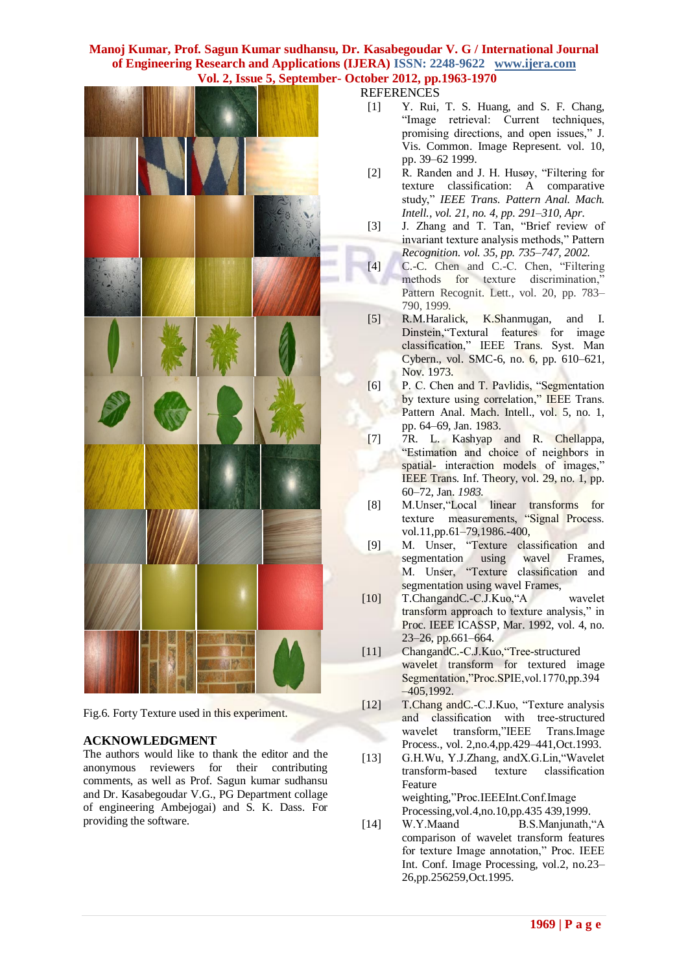

Fig.6. Forty Texture used in this experiment.

# **ACKNOWLEDGMENT**

The authors would like to thank the editor and the anonymous reviewers for their contributing comments, as well as Prof. Sagun kumar sudhansu and Dr. Kasabegoudar V.G., PG Department collage of engineering Ambejogai) and S. K. Dass. For providing the software.

[1] Y. Rui, T. S. Huang, and S. F. Chang, "Image retrieval: Current techniques, promising directions, and open issues," J. Vis. Common. Image Represent. vol. 10, pp. 39–62 1999.

- [2] R. Randen and J. H. Husøy, "Filtering for texture classification: A comparative study," *IEEE Trans. Pattern Anal. Mach. Intell., vol. 21, no. 4, pp. 291–310, Apr.*
- [3] J. Zhang and T. Tan, "Brief review of invariant texture analysis methods," Pattern *Recognition. vol. 35, pp. 735–747, 2002.*
- [4] C.-C. Chen and C.-C. Chen, "Filtering methods for texture discrimination," Pattern Recognit. Lett., vol. 20, pp. 783– 790, 1999.
- [5] R.M.Haralick, K.Shanmugan, and I. Dinstein,"Textural features for image classification," IEEE Trans. Syst. Man Cybern., vol. SMC-6, no. 6, pp. 610–621, Nov. 1973.
- [6] P. C. Chen and T. Pavlidis, "Segmentation by texture using correlation," IEEE Trans. Pattern Anal. Mach. Intell., vol. 5, no. 1, pp. 64–69, Jan. 1983.
- [7] 7R. L. Kashyap and R. Chellappa, "Estimation and choice of neighbors in spatial- interaction models of images," IEEE Trans. Inf. Theory, vol. 29, no. 1, pp. 60–72, Jan. *1983.*
- [8] M.Unser,"Local linear transforms for texture measurements, "Signal Process. vol.11, pp. 61–79, 1986. - 400,
- [9] M. Unser, "Texture classification and segmentation using wavel Frames, M. Unser, "Texture classification and segmentation using wavel Frames,
- [10] T.ChangandC.-C.J.Kuo,"A wavelet transform approach to texture analysis," in Proc. IEEE ICASSP, Mar. 1992, vol. 4, no. 23–26, pp.661–664.
- [11] ChangandC.-C.J.Kuo, "Tree-structured wavelet transform for textured image Segmentation,"Proc.SPIE,vol.1770,pp.394  $-405,1992.$
- [12] T.Chang andC.-C.J.Kuo, "Texture analysis and classification with tree-structured wavelet transform,"IEEE Trans.Image Process., vol. 2,no.4,pp.429–441,Oct.1993.
- [13] G.H.Wu, Y.J.Zhang, andX.G.Lin,"Wavelet transform-based texture classification Feature weighting,"Proc.IEEEInt.Conf.Image Processing,vol.4,no.10,pp.435 439,1999.
- [14] W.Y.Maand B.S.Manjunath,"A comparison of wavelet transform features for texture Image annotation," Proc. IEEE Int. Conf. Image Processing, vol.2, no.23– 26,pp.256259,Oct.1995.